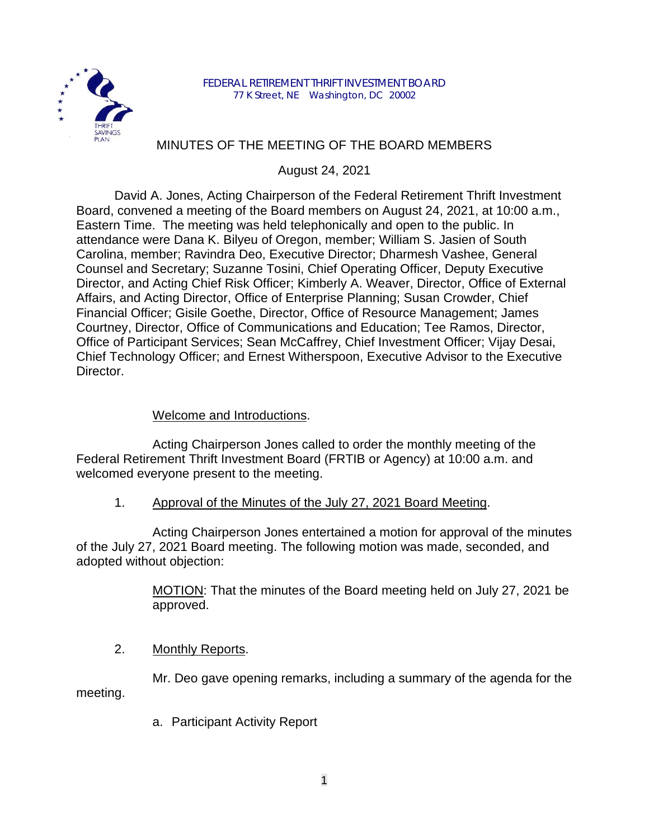

# MINUTES OF THE MEETING OF THE BOARD MEMBERS

August 24, 2021

David A. Jones, Acting Chairperson of the Federal Retirement Thrift Investment Board, convened a meeting of the Board members on August 24, 2021, at 10:00 a.m., Eastern Time. The meeting was held telephonically and open to the public. In attendance were Dana K. Bilyeu of Oregon, member; William S. Jasien of South Carolina, member; Ravindra Deo, Executive Director; Dharmesh Vashee, General Counsel and Secretary; Suzanne Tosini, Chief Operating Officer, Deputy Executive Director, and Acting Chief Risk Officer; Kimberly A. Weaver, Director, Office of External Affairs, and Acting Director, Office of Enterprise Planning; Susan Crowder, Chief Financial Officer; Gisile Goethe, Director, Office of Resource Management; James Courtney, Director, Office of Communications and Education; Tee Ramos, Director, Office of Participant Services; Sean McCaffrey, Chief Investment Officer; Vijay Desai, Chief Technology Officer; and Ernest Witherspoon, Executive Advisor to the Executive Director.

# Welcome and Introductions.

Acting Chairperson Jones called to order the monthly meeting of the Federal Retirement Thrift Investment Board (FRTIB or Agency) at 10:00 a.m. and welcomed everyone present to the meeting.

1. Approval of the Minutes of the July 27, 2021 Board Meeting.

Acting Chairperson Jones entertained a motion for approval of the minutes of the July 27, 2021 Board meeting. The following motion was made, seconded, and adopted without objection:

> MOTION: That the minutes of the Board meeting held on July 27, 2021 be approved.

# 2. Monthly Reports.

Mr. Deo gave opening remarks, including a summary of the agenda for the meeting.

a. Participant Activity Report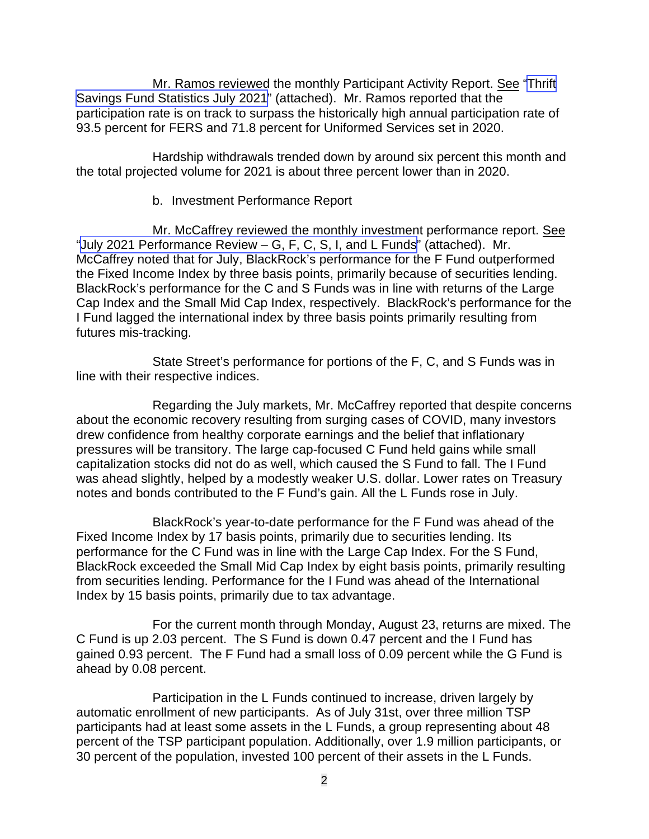Mr. Ramos reviewed the monthly Participant Activity Report. See "[Thrift](https://www.frtib.gov/pdf/minutes/2021/August/MM-2021Aug-Att1.pdf) [Savings Fund Statistics](https://www.frtib.gov/pdf/minutes/2021/August/MM-2021Aug-Att1.pdf) July 2021" (attached). Mr. Ramos reported that the participation rate is on track to surpass the historically high annual participation rate of 93.5 percent for FERS and 71.8 percent for Uniformed Services set in 2020.

Hardship withdrawals trended down by around six percent this month and the total projected volume for 2021 is about three percent lower than in 2020.

#### b. Investment Performance Report

Mr. McCaffrey reviewed the monthly investment performance report. See "July 2021 Performance Review [– G, F, C, S, I, and L Funds](https://www.frtib.gov/pdf/minutes/2021/August/MM-2021Aug-Att2.pdf)" (attached). Mr. McCaffrey noted that for July, BlackRock's performance for the F Fund outperformed the Fixed Income Index by three basis points, primarily because of securities lending. BlackRock's performance for the C and S Funds was in line with returns of the Large Cap Index and the Small Mid Cap Index, respectively. BlackRock's performance for the I Fund lagged the international index by three basis points primarily resulting from futures mis-tracking.

State Street's performance for portions of the F, C, and S Funds was in line with their respective indices.

Regarding the July markets, Mr. McCaffrey reported that despite concerns about the economic recovery resulting from surging cases of COVID, many investors drew confidence from healthy corporate earnings and the belief that inflationary pressures will be transitory. The large cap-focused C Fund held gains while small capitalization stocks did not do as well, which caused the S Fund to fall. The I Fund was ahead slightly, helped by a modestly weaker U.S. dollar. Lower rates on Treasury notes and bonds contributed to the F Fund's gain. All the L Funds rose in July.

BlackRock's year-to-date performance for the F Fund was ahead of the Fixed Income Index by 17 basis points, primarily due to securities lending. Its performance for the C Fund was in line with the Large Cap Index. For the S Fund, BlackRock exceeded the Small Mid Cap Index by eight basis points, primarily resulting from securities lending. Performance for the I Fund was ahead of the International Index by 15 basis points, primarily due to tax advantage.

For the current month through Monday, August 23, returns are mixed. The C Fund is up 2.03 percent. The S Fund is down 0.47 percent and the I Fund has gained 0.93 percent. The F Fund had a small loss of 0.09 percent while the G Fund is ahead by 0.08 percent.

Participation in the L Funds continued to increase, driven largely by automatic enrollment of new participants. As of July 31st, over three million TSP participants had at least some assets in the L Funds, a group representing about 48 percent of the TSP participant population. Additionally, over 1.9 million participants, or 30 percent of the population, invested 100 percent of their assets in the L Funds.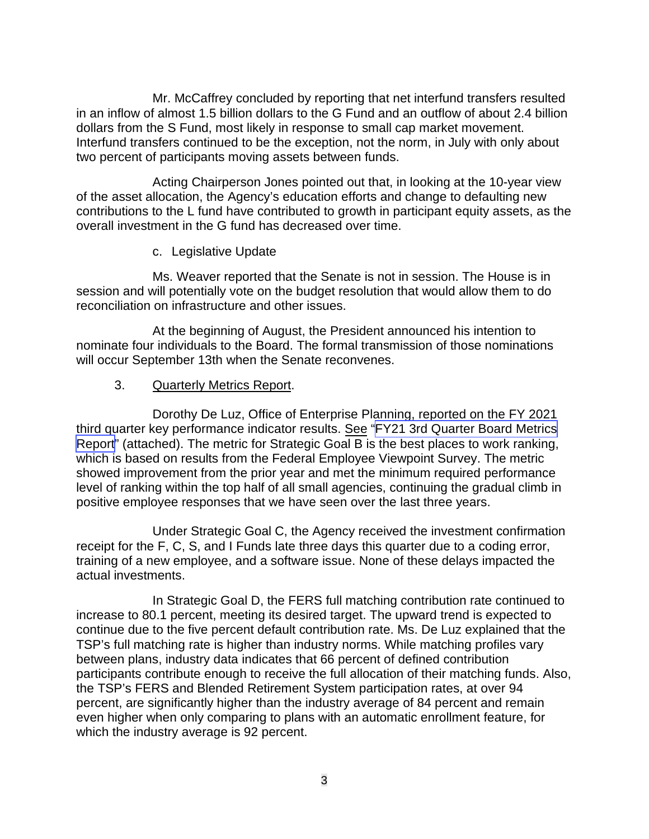Mr. McCaffrey concluded by reporting that net interfund transfers resulted in an inflow of almost 1.5 billion dollars to the G Fund and an outflow of about 2.4 billion dollars from the S Fund, most likely in response to small cap market movement. Interfund transfers continued to be the exception, not the norm, in July with only about two percent of participants moving assets between funds.

Acting Chairperson Jones pointed out that, in looking at the 10-year view of the asset allocation, the Agency's education efforts and change to defaulting new contributions to the L fund have contributed to growth in participant equity assets, as the overall investment in the G fund has decreased over time.

### c. Legislative Update

Ms. Weaver reported that the Senate is not in session. The House is in session and will potentially vote on the budget resolution that would allow them to do reconciliation on infrastructure and other issues.

At the beginning of August, the President announced his intention to nominate four individuals to the Board. The formal transmission of those nominations will occur September 13th when the Senate reconvenes.

### 3. Quarterly Metrics Report.

Dorothy De Luz, Office of Enterprise Planning, reported on the FY 2021 third quarter key performance indicator results. See "[FY21 3rd Quarter Board Metrics](https://www.frtib.gov/pdf/minutes/2021/August/MM-2021Aug-Att3.pdf) [Report](https://www.frtib.gov/pdf/minutes/2021/August/MM-2021Aug-Att3.pdf)" (attached). The metric for Strategic Goal B is the best places to work ranking, which is based on results from the Federal Employee Viewpoint Survey. The metric showed improvement from the prior year and met the minimum required performance level of ranking within the top half of all small agencies, continuing the gradual climb in positive employee responses that we have seen over the last three years.

Under Strategic Goal C, the Agency received the investment confirmation receipt for the F, C, S, and I Funds late three days this quarter due to a coding error, training of a new employee, and a software issue. None of these delays impacted the actual investments.

In Strategic Goal D, the FERS full matching contribution rate continued to increase to 80.1 percent, meeting its desired target. The upward trend is expected to continue due to the five percent default contribution rate. Ms. De Luz explained that the TSP's full matching rate is higher than industry norms. While matching profiles vary between plans, industry data indicates that 66 percent of defined contribution participants contribute enough to receive the full allocation of their matching funds. Also, the TSP's FERS and Blended Retirement System participation rates, at over 94 percent, are significantly higher than the industry average of 84 percent and remain even higher when only comparing to plans with an automatic enrollment feature, for which the industry average is 92 percent.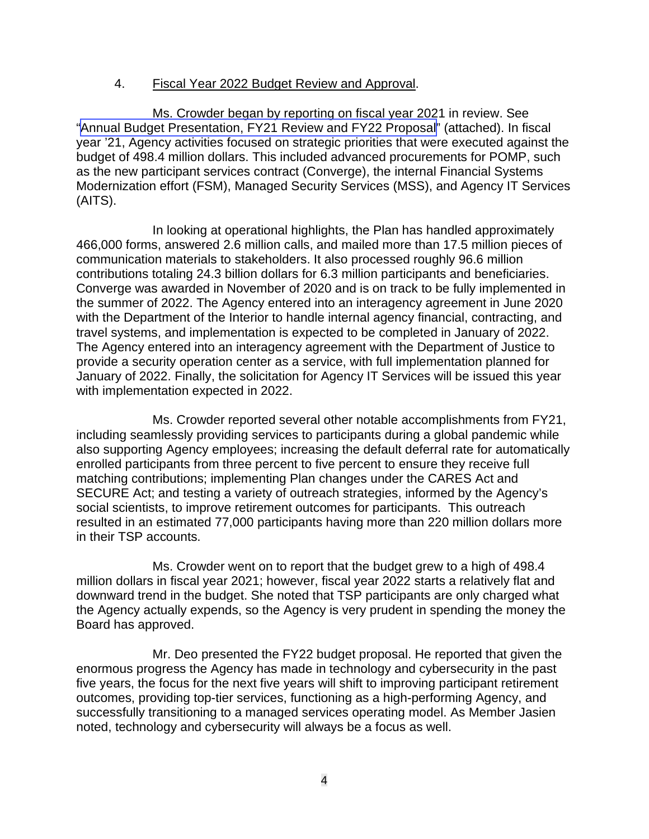#### 4. Fiscal Year 2022 Budget Review and Approval.

Ms. Crowder began by reporting on fiscal year 2021 in review. See "[Annual Budget Presentation, FY21 Review](https://www.frtib.gov/pdf/minutes/2021/August/MM-2021Aug-Att4.pdf) and FY22 Proposal" (attached). In fiscal year '21, Agency activities focused on strategic priorities that were executed against the budget of 498.4 million dollars. This included advanced procurements for POMP, such as the new participant services contract (Converge), the internal Financial Systems Modernization effort (FSM), Managed Security Services (MSS), and Agency IT Services (AITS).

In looking at operational highlights, the Plan has handled approximately 466,000 forms, answered 2.6 million calls, and mailed more than 17.5 million pieces of communication materials to stakeholders. It also processed roughly 96.6 million contributions totaling 24.3 billion dollars for 6.3 million participants and beneficiaries. Converge was awarded in November of 2020 and is on track to be fully implemented in the summer of 2022. The Agency entered into an interagency agreement in June 2020 with the Department of the Interior to handle internal agency financial, contracting, and travel systems, and implementation is expected to be completed in January of 2022. The Agency entered into an interagency agreement with the Department of Justice to provide a security operation center as a service, with full implementation planned for January of 2022. Finally, the solicitation for Agency IT Services will be issued this year with implementation expected in 2022.

Ms. Crowder reported several other notable accomplishments from FY21, including seamlessly providing services to participants during a global pandemic while also supporting Agency employees; increasing the default deferral rate for automatically enrolled participants from three percent to five percent to ensure they receive full matching contributions; implementing Plan changes under the CARES Act and SECURE Act; and testing a variety of outreach strategies, informed by the Agency's social scientists, to improve retirement outcomes for participants. This outreach resulted in an estimated 77,000 participants having more than 220 million dollars more in their TSP accounts.

Ms. Crowder went on to report that the budget grew to a high of 498.4 million dollars in fiscal year 2021; however, fiscal year 2022 starts a relatively flat and downward trend in the budget. She noted that TSP participants are only charged what the Agency actually expends, so the Agency is very prudent in spending the money the Board has approved.

Mr. Deo presented the FY22 budget proposal. He reported that given the enormous progress the Agency has made in technology and cybersecurity in the past five years, the focus for the next five years will shift to improving participant retirement outcomes, providing top-tier services, functioning as a high-performing Agency, and successfully transitioning to a managed services operating model. As Member Jasien noted, technology and cybersecurity will always be a focus as well.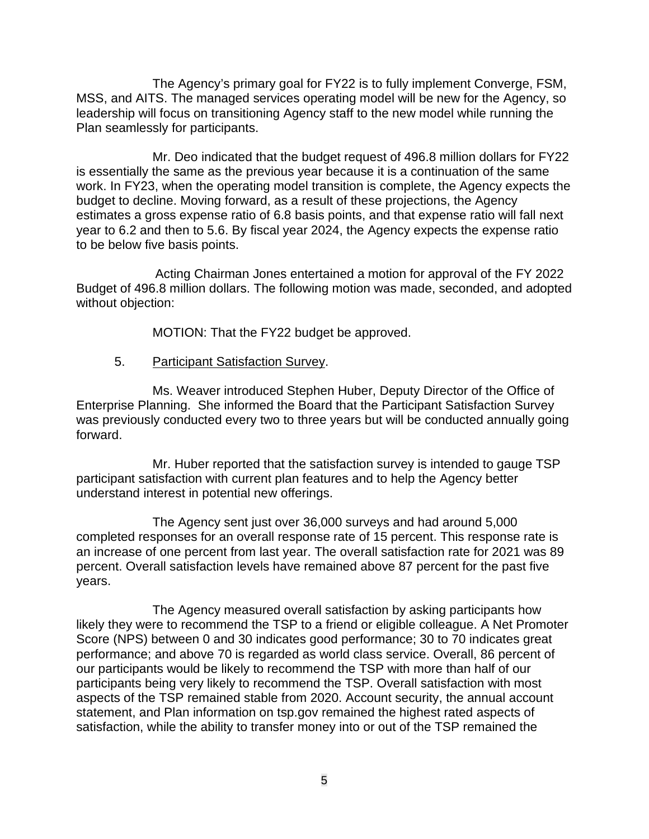The Agency's primary goal for FY22 is to fully implement Converge, FSM, MSS, and AITS. The managed services operating model will be new for the Agency, so leadership will focus on transitioning Agency staff to the new model while running the Plan seamlessly for participants.

Mr. Deo indicated that the budget request of 496.8 million dollars for FY22 is essentially the same as the previous year because it is a continuation of the same work. In FY23, when the operating model transition is complete, the Agency expects the budget to decline. Moving forward, as a result of these projections, the Agency estimates a gross expense ratio of 6.8 basis points, and that expense ratio will fall next year to 6.2 and then to 5.6. By fiscal year 2024, the Agency expects the expense ratio to be below five basis points.

Acting Chairman Jones entertained a motion for approval of the FY 2022 Budget of 496.8 million dollars. The following motion was made, seconded, and adopted without objection:

MOTION: That the FY22 budget be approved.

5. Participant Satisfaction Survey.

Ms. Weaver introduced Stephen Huber, Deputy Director of the Office of Enterprise Planning. She informed the Board that the Participant Satisfaction Survey was previously conducted every two to three years but will be conducted annually going forward.

Mr. Huber reported that the satisfaction survey is intended to gauge TSP participant satisfaction with current plan features and to help the Agency better understand interest in potential new offerings.

The Agency sent just over 36,000 surveys and had around 5,000 completed responses for an overall response rate of 15 percent. This response rate is an increase of one percent from last year. The overall satisfaction rate for 2021 was 89 percent. Overall satisfaction levels have remained above 87 percent for the past five years.

The Agency measured overall satisfaction by asking participants how likely they were to recommend the TSP to a friend or eligible colleague. A Net Promoter Score (NPS) between 0 and 30 indicates good performance; 30 to 70 indicates great performance; and above 70 is regarded as world class service. Overall, 86 percent of our participants would be likely to recommend the TSP with more than half of our participants being very likely to recommend the TSP. Overall satisfaction with most aspects of the TSP remained stable from 2020. Account security, the annual account statement, and Plan information on tsp.gov remained the highest rated aspects of satisfaction, while the ability to transfer money into or out of the TSP remained the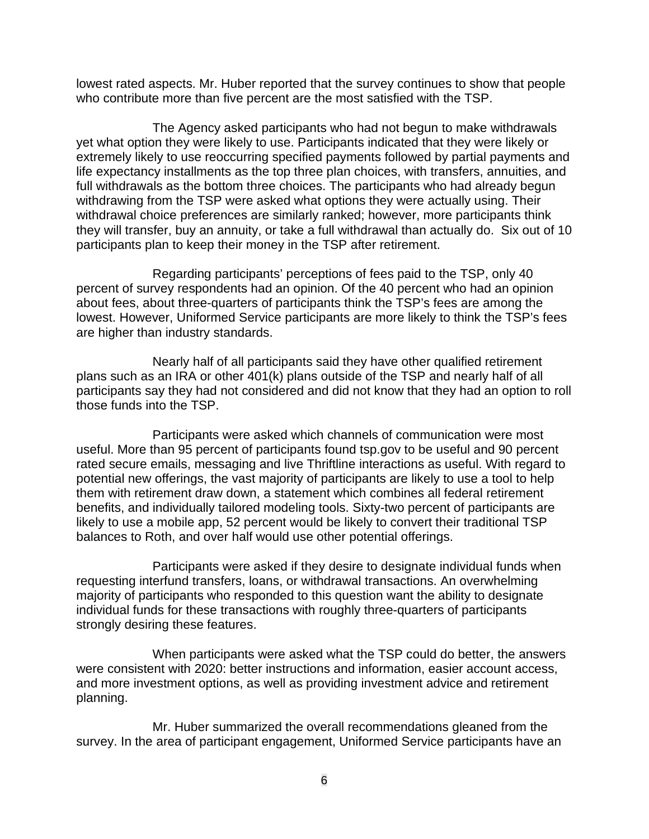lowest rated aspects. Mr. Huber reported that the survey continues to show that people who contribute more than five percent are the most satisfied with the TSP.

The Agency asked participants who had not begun to make withdrawals yet what option they were likely to use. Participants indicated that they were likely or extremely likely to use reoccurring specified payments followed by partial payments and life expectancy installments as the top three plan choices, with transfers, annuities, and full withdrawals as the bottom three choices. The participants who had already begun withdrawing from the TSP were asked what options they were actually using. Their withdrawal choice preferences are similarly ranked; however, more participants think they will transfer, buy an annuity, or take a full withdrawal than actually do. Six out of 10 participants plan to keep their money in the TSP after retirement.

Regarding participants' perceptions of fees paid to the TSP, only 40 percent of survey respondents had an opinion. Of the 40 percent who had an opinion about fees, about three-quarters of participants think the TSP's fees are among the lowest. However, Uniformed Service participants are more likely to think the TSP's fees are higher than industry standards.

Nearly half of all participants said they have other qualified retirement plans such as an IRA or other 401(k) plans outside of the TSP and nearly half of all participants say they had not considered and did not know that they had an option to roll those funds into the TSP.

Participants were asked which channels of communication were most useful. More than 95 percent of participants found tsp.gov to be useful and 90 percent rated secure emails, messaging and live Thriftline interactions as useful. With regard to potential new offerings, the vast majority of participants are likely to use a tool to help them with retirement draw down, a statement which combines all federal retirement benefits, and individually tailored modeling tools. Sixty-two percent of participants are likely to use a mobile app, 52 percent would be likely to convert their traditional TSP balances to Roth, and over half would use other potential offerings.

Participants were asked if they desire to designate individual funds when requesting interfund transfers, loans, or withdrawal transactions. An overwhelming majority of participants who responded to this question want the ability to designate individual funds for these transactions with roughly three-quarters of participants strongly desiring these features.

When participants were asked what the TSP could do better, the answers were consistent with 2020: better instructions and information, easier account access, and more investment options, as well as providing investment advice and retirement planning.

Mr. Huber summarized the overall recommendations gleaned from the survey. In the area of participant engagement, Uniformed Service participants have an